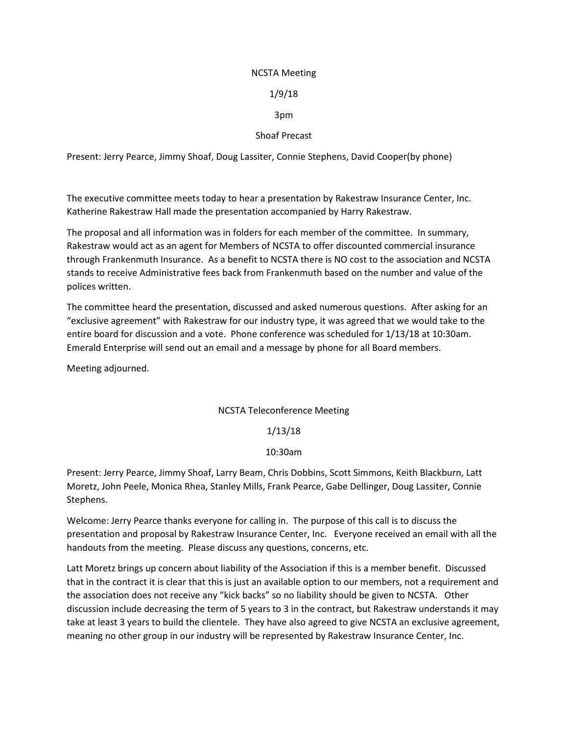#### NCSTA Meeting

## 1/9/18

## 3pm

## Shoaf Precast

Present: Jerry Pearce, Jimmy Shoaf, Doug Lassiter, Connie Stephens, David Cooper(by phone)

The executive committee meets today to hear a presentation by Rakestraw Insurance Center, Inc. Katherine Rakestraw Hall made the presentation accompanied by Harry Rakestraw.

The proposal and all information was in folders for each member of the committee. In summary, Rakestraw would act as an agent for Members of NCSTA to offer discounted commercial insurance through Frankenmuth Insurance. As a benefit to NCSTA there is NO cost to the association and NCSTA stands to receive Administrative fees back from Frankenmuth based on the number and value of the polices written.

The committee heard the presentation, discussed and asked numerous questions. After asking for an "exclusive agreement" with Rakestraw for our industry type, it was agreed that we would take to the entire board for discussion and a vote. Phone conference was scheduled for 1/13/18 at 10:30am. Emerald Enterprise will send out an email and a message by phone for all Board members.

Meeting adjourned.

# NCSTA Teleconference Meeting

#### 1/13/18

#### 10:30am

Present: Jerry Pearce, Jimmy Shoaf, Larry Beam, Chris Dobbins, Scott Simmons, Keith Blackburn, Latt Moretz, John Peele, Monica Rhea, Stanley Mills, Frank Pearce, Gabe Dellinger, Doug Lassiter, Connie Stephens.

Welcome: Jerry Pearce thanks everyone for calling in. The purpose of this call is to discuss the presentation and proposal by Rakestraw Insurance Center, Inc. Everyone received an email with all the handouts from the meeting. Please discuss any questions, concerns, etc.

Latt Moretz brings up concern about liability of the Association if this is a member benefit. Discussed that in the contract it is clear that this is just an available option to our members, not a requirement and the association does not receive any "kick backs" so no liability should be given to NCSTA. Other discussion include decreasing the term of 5 years to 3 in the contract, but Rakestraw understands it may take at least 3 years to build the clientele. They have also agreed to give NCSTA an exclusive agreement, meaning no other group in our industry will be represented by Rakestraw Insurance Center, Inc.